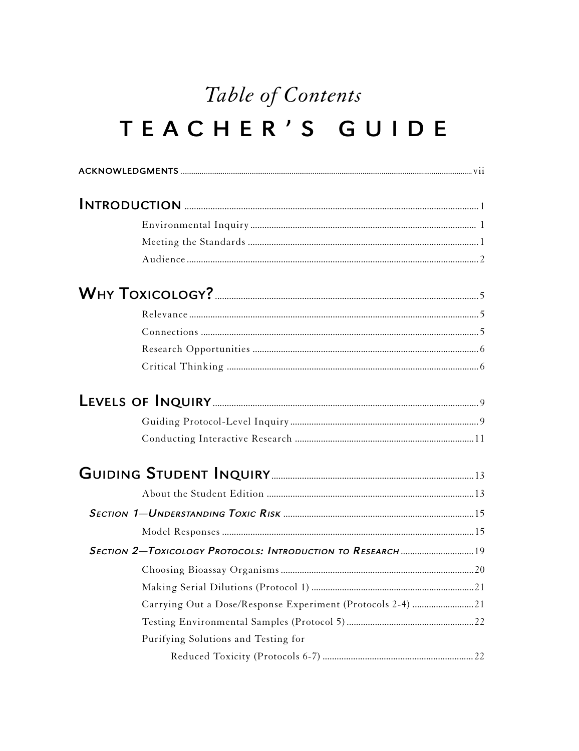## Table of Contents TEACHER'S GUIDE

| SECTION 2-TOXICOLOGY PROTOCOLS: INTRODUCTION TO RESEARCH  19 |  |
|--------------------------------------------------------------|--|
|                                                              |  |
|                                                              |  |
| Carrying Out a Dose/Response Experiment (Protocols 2-4) 21   |  |
|                                                              |  |
| Purifying Solutions and Testing for                          |  |
|                                                              |  |